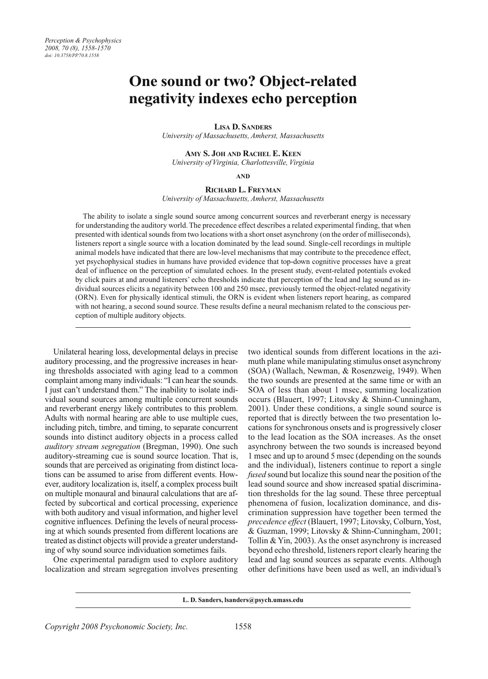# **One sound or two? Object-related negativity indexes echo perception**

**LISA D. SANDERS**

*University of Massachusetts, Amherst, Massachusetts*

**AMY S. JOH AND RACHEL E. KEEN** *University of Virginia, Charlottesville, Virginia*

**AND**

**RICHARD L. FREYMAN**

*University of Massachusetts, Amherst, Massachusetts*

The ability to isolate a single sound source among concurrent sources and reverberant energy is necessary for understanding the auditory world. The precedence effect describes a related experimental finding, that when presented with identical sounds from two locations with a short onset asynchrony (on the order of milliseconds), listeners report a single source with a location dominated by the lead sound. Single-cell recordings in multiple animal models have indicated that there are low-level mechanisms that may contribute to the precedence effect, yet psychophysical studies in humans have provided evidence that top-down cognitive processes have a great deal of influence on the perception of simulated echoes. In the present study, event-related potentials evoked by click pairs at and around listeners' echo thresholds indicate that perception of the lead and lag sound as individual sources elicits a negativity between 100 and 250 msec, previously termed the object-related negativity (ORN). Even for physically identical stimuli, the ORN is evident when listeners report hearing, as compared with not hearing, a second sound source. These results define a neural mechanism related to the conscious perception of multiple auditory objects.

Unilateral hearing loss, developmental delays in precise auditory processing, and the progressive increases in hearing thresholds associated with aging lead to a common complaint among many individuals: "I can hear the sounds. I just can't understand them." The inability to isolate individual sound sources among multiple concurrent sounds and reverberant energy likely contributes to this problem. Adults with normal hearing are able to use multiple cues, including pitch, timbre, and timing, to separate concurrent sounds into distinct auditory objects in a process called *auditory stream segregation* (Bregman, 1990). One such auditory- streaming cue is sound source location. That is, sounds that are perceived as originating from distinct locations can be assumed to arise from different events. However, auditory localization is, itself, a complex process built on multiple monaural and binaural calculations that are affected by subcortical and cortical processing, experience with both auditory and visual information, and higher level cognitive influences. Defining the levels of neural processing at which sounds presented from different locations are treated as distinct objects will provide a greater understanding of why sound source individuation sometimes fails.

One experimental paradigm used to explore auditory localization and stream segregation involves presenting

two identical sounds from different locations in the azimuth plane while manipulating stimulus onset asynchrony (SOA) (Wallach, Newman, & Rosenzweig, 1949). When the two sounds are presented at the same time or with an SOA of less than about 1 msec, summing localization occurs (Blauert, 1997; Litovsky & Shinn-Cunningham, 2001). Under these conditions, a single sound source is reported that is directly between the two presentation locations for synchronous onsets and is progressively closer to the lead location as the SOA increases. As the onset asynchrony between the two sounds is increased beyond 1 msec and up to around 5 msec (depending on the sounds and the individual), listeners continue to report a single *fused* sound but localize this sound near the position of the lead sound source and show increased spatial discrimination thresholds for the lag sound. These three perceptual phenomena of fusion, localization dominance, and discrimination suppression have together been termed the *precedence effect* (Blauert, 1997; Litovsky, Colburn, Yost, & Guzman, 1999; Litovsky & Shinn-Cunningham, 2001; Tollin & Yin, 2003). As the onset asynchrony is increased beyond echo threshold, listeners report clearly hearing the lead and lag sound sources as separate events. Although other definitions have been used as well, an individual's

**L. D. Sanders, lsanders@psych.umass.edu**

*Copyright 2008 Psychonomic Society, Inc.*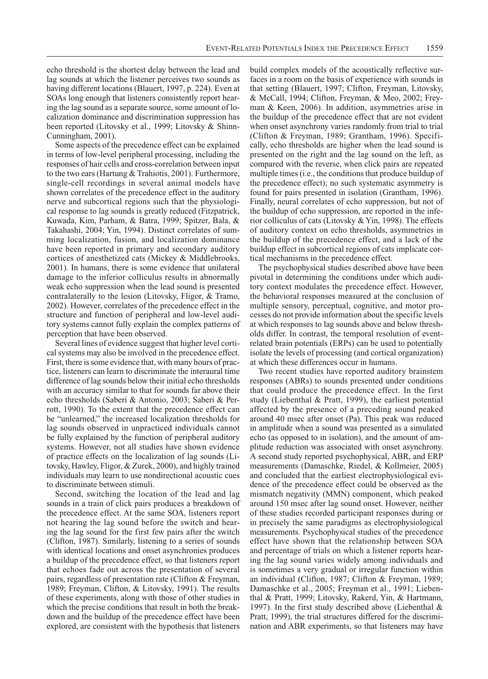echo threshold is the shortest delay between the lead and lag sounds at which the listener perceives two sounds as having different locations (Blauert, 1997, p. 224). Even at SOAs long enough that listeners consistently report hearing the lag sound as a separate source, some amount of localization dominance and discrimination suppression has been reported (Litovsky et al., 1999; Litovsky & Shinn-Cunningham, 2001).

Some aspects of the precedence effect can be explained in terms of low-level peripheral processing, including the responses of hair cells and cross-correlation between input to the two ears (Hartung & Trahiotis, 2001). Furthermore, single-cell recordings in several animal models have shown correlates of the precedence effect in the auditory nerve and subcortical regions such that the physiological response to lag sounds is greatly reduced (Fitzpatrick, Kuwada, Kim, Parham, & Batra, 1999; Spitzer, Bala, & Takahashi, 2004; Yin, 1994). Distinct correlates of summing localization, fusion, and localization dominance have been reported in primary and secondary auditory cortices of anesthetized cats (Mickey & Middlebrooks, 2001). In humans, there is some evidence that unilateral damage to the inferior colliculus results in abnormally weak echo suppression when the lead sound is presented contralaterally to the lesion (Litovsky, Fligor, & Tramo, 2002). However, correlates of the precedence effect in the structure and function of peripheral and low-level auditory systems cannot fully explain the complex patterns of perception that have been observed.

Several lines of evidence suggest that higher level cortical systems may also be involved in the precedence effect. First, there is some evidence that, with many hours of practice, listeners can learn to discriminate the interaural time difference of lag sounds below their initial echo thresholds with an accuracy similar to that for sounds far above their echo thresholds (Saberi & Antonio, 2003; Saberi & Perrott, 1990). To the extent that the precedence effect can be "unlearned," the increased localization thresholds for lag sounds observed in unpracticed individuals cannot be fully explained by the function of peripheral auditory systems. However, not all studies have shown evidence of practice effects on the localization of lag sounds (Litovsky, Hawley, Fligor, & Zurek, 2000), and highly trained individuals may learn to use nondirectional acoustic cues to discriminate between stimuli.

Second, switching the location of the lead and lag sounds in a train of click pairs produces a breakdown of the precedence effect. At the same SOA, listeners report not hearing the lag sound before the switch and hearing the lag sound for the first few pairs after the switch (Clifton, 1987). Similarly, listening to a series of sounds with identical locations and onset asynchronies produces a buildup of the precedence effect, so that listeners report that echoes fade out across the presentation of several pairs, regardless of presentation rate (Clifton & Freyman, 1989; Freyman, Clifton, & Litovsky, 1991). The results of these experiments, along with those of other studies in which the precise conditions that result in both the breakdown and the buildup of the precedence effect have been explored, are consistent with the hypothesis that listeners

build complex models of the acoustically reflective surfaces in a room on the basis of experience with sounds in that setting (Blauert, 1997; Clifton, Freyman, Litovsky, & McCall, 1994; Clifton, Freyman, & Meo, 2002; Freyman & Keen, 2006). In addition, asymmetries arise in the buildup of the precedence effect that are not evident when onset asynchrony varies randomly from trial to trial (Clifton & Freyman, 1989; Grantham, 1996). Specifically, echo thresholds are higher when the lead sound is presented on the right and the lag sound on the left, as compared with the reverse, when click pairs are repeated multiple times (i.e., the conditions that produce buildup of the precedence effect); no such systematic asymmetry is found for pairs presented in isolation (Grantham, 1996). Finally, neural correlates of echo suppression, but not of the buildup of echo suppression, are reported in the inferior colliculus of cats (Litovsky & Yin, 1998). The effects of auditory context on echo thresholds, asymmetries in the buildup of the precedence effect, and a lack of the buildup effect in subcortical regions of cats implicate cortical mechanisms in the precedence effect.

The psychophysical studies described above have been pivotal in determining the conditions under which auditory context modulates the precedence effect. However, the behavioral responses measured at the conclusion of multiple sensory, perceptual, cognitive, and motor processes do not provide information about the specific levels at which responses to lag sounds above and below thresholds differ. In contrast, the temporal resolution of eventrelated brain potentials (ERPs) can be used to potentially isolate the levels of processing (and cortical organization) at which these differences occur in humans.

Two recent studies have reported auditory brainstem responses (ABRs) to sounds presented under conditions that could produce the precedence effect. In the first study (Liebenthal & Pratt, 1999), the earliest potential affected by the presence of a preceding sound peaked around 40 msec after onset (Pa). This peak was reduced in amplitude when a sound was presented as a simulated echo (as opposed to in isolation), and the amount of amplitude reduction was associated with onset asynchrony. A second study reported psychophysical, ABR, and ERP measurements (Damaschke, Riedel, & Kollmeier, 2005) and concluded that the earliest electrophysiological evidence of the precedence effect could be observed as the mismatch negativity (MMN) component, which peaked around 150 msec after lag sound onset. However, neither of these studies recorded participant responses during or in precisely the same paradigms as electrophysiological measurements. Psychophysical studies of the precedence effect have shown that the relationship between SOA and percentage of trials on which a listener reports hearing the lag sound varies widely among individuals and is sometimes a very gradual or irregular function within an individual (Clifton, 1987; Clifton & Freyman, 1989; Damaschke et al., 2005; Freyman et al., 1991; Liebenthal & Pratt, 1999; Litovsky, Rakerd, Yin, & Hartmann, 1997). In the first study described above (Liebenthal  $\&$ Pratt, 1999), the trial structures differed for the discrimination and ABR experiments, so that listeners may have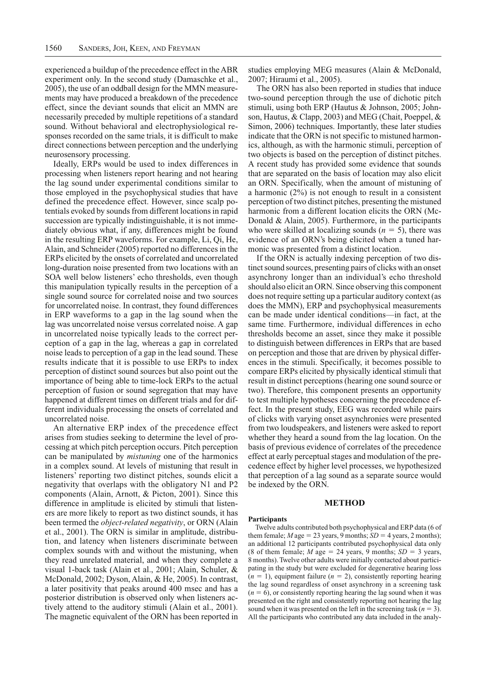experienced a buildup of the precedence effect in the ABR experiment only. In the second study (Damaschke et al., 2005), the use of an oddball design for the MMN measurements may have produced a breakdown of the precedence effect, since the deviant sounds that elicit an MMN are necessarily preceded by multiple repetitions of a standard sound. Without behavioral and electrophysiological responses recorded on the same trials, it is difficult to make direct connections between perception and the underlying neurosensory processing.

Ideally, ERPs would be used to index differences in processing when listeners report hearing and not hearing the lag sound under experimental conditions similar to those employed in the psychophysical studies that have defined the precedence effect. However, since scalp potentials evoked by sounds from different locations in rapid succession are typically indistinguishable, it is not immediately obvious what, if any, differences might be found in the resulting ERP waveforms. For example, Li, Qi, He, Alain, and Schneider (2005) reported no differences in the ERPs elicited by the onsets of correlated and uncorrelated long-duration noise presented from two locations with an SOA well below listeners' echo thresholds, even though this manipulation typically results in the perception of a single sound source for correlated noise and two sources for uncorrelated noise. In contrast, they found differences in ERP waveforms to a gap in the lag sound when the lag was uncorrelated noise versus correlated noise. A gap in uncorrelated noise typically leads to the correct perception of a gap in the lag, whereas a gap in correlated noise leads to perception of a gap in the lead sound. These results indicate that it is possible to use ERPs to index perception of distinct sound sources but also point out the importance of being able to time-lock ERPs to the actual perception of fusion or sound segregation that may have happened at different times on different trials and for different individuals processing the onsets of correlated and uncorrelated noise.

An alternative ERP index of the precedence effect arises from studies seeking to determine the level of processing at which pitch perception occurs. Pitch perception can be manipulated by *mistuning* one of the harmonics in a complex sound. At levels of mistuning that result in listeners' reporting two distinct pitches, sounds elicit a negativity that overlaps with the obligatory N1 and P2 components (Alain, Arnott, & Picton, 2001). Since this difference in amplitude is elicited by stimuli that listeners are more likely to report as two distinct sounds, it has been termed the *object-related negativity*, or ORN (Alain et al., 2001). The ORN is similar in amplitude, distribution, and latency when listeners discriminate between complex sounds with and without the mistuning, when they read unrelated material, and when they complete a visual 1-back task (Alain et al., 2001; Alain, Schuler, & McDonald, 2002; Dyson, Alain, & He, 2005). In contrast, a later positivity that peaks around 400 msec and has a posterior distribution is observed only when listeners actively attend to the auditory stimuli (Alain et al., 2001). The magnetic equivalent of the ORN has been reported in

studies employing MEG measures (Alain & McDonald, 2007; Hiraumi et al., 2005).

The ORN has also been reported in studies that induce two-sound perception through the use of dichotic pitch stimuli, using both ERP (Hautus & Johnson, 2005; Johnson, Hautus, & Clapp, 2003) and MEG (Chait, Poeppel, & Simon, 2006) techniques. Importantly, these later studies indicate that the ORN is not specific to mistuned harmonics, although, as with the harmonic stimuli, perception of two objects is based on the perception of distinct pitches. A recent study has provided some evidence that sounds that are separated on the basis of location may also elicit an ORN. Specifically, when the amount of mistuning of a harmonic (2%) is not enough to result in a consistent perception of two distinct pitches, presenting the mistuned harmonic from a different location elicits the ORN (Mc-Donald & Alain, 2005). Furthermore, in the participants who were skilled at localizing sounds  $(n = 5)$ , there was evidence of an ORN's being elicited when a tuned harmonic was presented from a distinct location.

If the ORN is actually indexing perception of two distinct sound sources, presenting pairs of clicks with an onset asynchrony longer than an individual's echo threshold should also elicit an ORN. Since observing this component does not require setting up a particular auditory context (as does the MMN), ERP and psychophysical measurements can be made under identical conditions—in fact, at the same time. Furthermore, individual differences in echo thresholds become an asset, since they make it possible to distinguish between differences in ERPs that are based on perception and those that are driven by physical differences in the stimuli. Specifically, it becomes possible to compare ERPs elicited by physically identical stimuli that result in distinct perceptions (hearing one sound source or two). Therefore, this component presents an opportunity to test multiple hypotheses concerning the precedence effect. In the present study, EEG was recorded while pairs of clicks with varying onset asynchronies were presented from two loudspeakers, and listeners were asked to report whether they heard a sound from the lag location. On the basis of previous evidence of correlates of the precedence effect at early perceptual stages and modulation of the precedence effect by higher level processes, we hypothesized that perception of a lag sound as a separate source would be indexed by the ORN.

## **METHOD**

#### **Participants**

Twelve adults contributed both psychophysical and ERP data (6 of them female;  $M$  age = 23 years, 9 months;  $SD = 4$  years, 2 months); an additional 12 participants contributed psychophysical data only (8 of them female; *M* age  $=$  24 years, 9 months; *SD*  $=$  3 years, 8 months). Twelve other adults were initially contacted about participating in the study but were excluded for degenerative hearing loss  $(n = 1)$ , equipment failure  $(n = 2)$ , consistently reporting hearing the lag sound regardless of onset asynchrony in a screening task  $(n = 6)$ , or consistently reporting hearing the lag sound when it was presented on the right and consistently reporting not hearing the lag sound when it was presented on the left in the screening task  $(n = 3)$ . All the participants who contributed any data included in the analy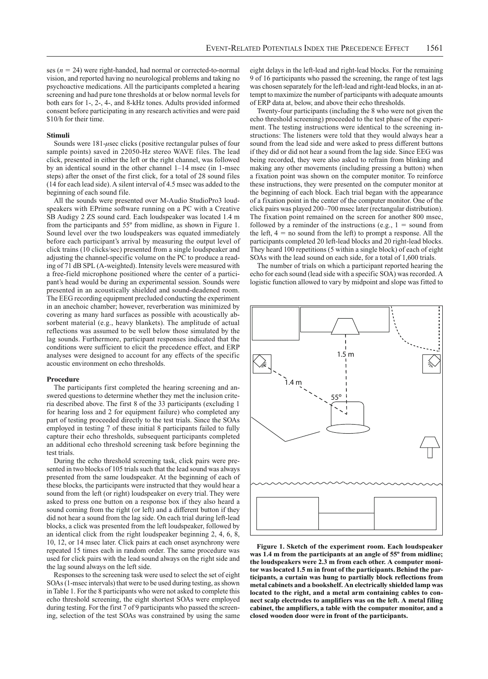ses  $(n = 24)$  were right-handed, had normal or corrected-to-normal vision, and reported having no neurological problems and taking no psychoactive medications. All the participants completed a hearing screening and had pure tone thresholds at or below normal levels for both ears for 1-, 2-, 4-, and 8-kHz tones. Adults provided informed consent before participating in any research activities and were paid \$10/h for their time.

#### **Stimuli**

Sounds were  $181$ -usec clicks (positive rectangular pulses of four sample points) saved in 22050-Hz stereo WAVE files. The lead click, presented in either the left or the right channel, was followed by an identical sound in the other channel 1–14 msec (in 1-msec steps) after the onset of the first click, for a total of 28 sound files (14 for each lead side). A silent interval of 4.5 msec was added to the beginning of each sound file.

All the sounds were presented over M-Audio StudioPro3 loudspeakers with EPrime software running on a PC with a Creative SB Audigy 2 ZS sound card. Each loudspeaker was located 1.4 m from the participants and 55º from midline, as shown in Figure 1. Sound level over the two loudspeakers was equated immediately before each participant's arrival by measuring the output level of click trains (10 clicks/sec) presented from a single loudspeaker and adjusting the channel-specific volume on the PC to produce a reading of 71 dB SPL (A-weighted). Intensity levels were measured with a free-field microphone positioned where the center of a participant's head would be during an experimental session. Sounds were presented in an acoustically shielded and sound-deadened room. The EEG recording equipment precluded conducting the experiment in an anechoic chamber; however, reverberation was minimized by covering as many hard surfaces as possible with acoustically absorbent material (e.g., heavy blankets). The amplitude of actual reflections was assumed to be well below those simulated by the lag sounds. Furthermore, participant responses indicated that the conditions were sufficient to elicit the precedence effect, and ERP analyses were designed to account for any effects of the specific acoustic environment on echo thresholds.

#### **Procedure**

The participants first completed the hearing screening and answered questions to determine whether they met the inclusion criteria described above. The first 8 of the 33 participants (excluding 1 for hearing loss and 2 for equipment failure) who completed any part of testing proceeded directly to the test trials. Since the SOAs employed in testing 7 of these initial 8 participants failed to fully capture their echo thresholds, subsequent participants completed an additional echo threshold screening task before beginning the test trials.

During the echo threshold screening task, click pairs were presented in two blocks of 105 trials such that the lead sound was always presented from the same loudspeaker. At the beginning of each of these blocks, the participants were instructed that they would hear a sound from the left (or right) loudspeaker on every trial. They were asked to press one button on a response box if they also heard a sound coming from the right (or left) and a different button if they did not hear a sound from the lag side. On each trial during left-lead blocks, a click was presented from the left loudspeaker, followed by an identical click from the right loudspeaker beginning 2, 4, 6, 8, 10, 12, or 14 msec later. Click pairs at each onset asynchrony were repeated 15 times each in random order. The same procedure was used for click pairs with the lead sound always on the right side and the lag sound always on the left side.

Responses to the screening task were used to select the set of eight SOAs (1-msec intervals) that were to be used during testing, as shown in Table 1. For the 8 participants who were not asked to complete this echo threshold screening, the eight shortest SOAs were employed during testing. For the first 7 of 9 participants who passed the screening, selection of the test SOAs was constrained by using the same eight delays in the left-lead and right-lead blocks. For the remaining 9 of 16 participants who passed the screening, the range of test lags was chosen separately for the left-lead and right-lead blocks, in an attempt to maximize the number of participants with adequate amounts of ERP data at, below, and above their echo thresholds.

Twenty-four participants (including the 8 who were not given the echo threshold screening) proceeded to the test phase of the experiment. The testing instructions were identical to the screening instructions: The listeners were told that they would always hear a sound from the lead side and were asked to press different buttons if they did or did not hear a sound from the lag side. Since EEG was being recorded, they were also asked to refrain from blinking and making any other movements (including pressing a button) when a fixation point was shown on the computer monitor. To reinforce these instructions, they were presented on the computer monitor at the beginning of each block. Each trial began with the appearance of a fixation point in the center of the computer monitor. One of the click pairs was played 200–700 msec later (rectangular distribution). The fixation point remained on the screen for another 800 msec, followed by a reminder of the instructions (e.g.,  $1 =$  sound from the left,  $4 = no$  sound from the left) to prompt a response. All the participants completed 20 left-lead blocks and 20 right-lead blocks. They heard 100 repetitions (5 within a single block) of each of eight SOAs with the lead sound on each side, for a total of 1,600 trials.

The number of trials on which a participant reported hearing the echo for each sound (lead side with a specific SOA) was recorded. A logistic function allowed to vary by midpoint and slope was fitted to



**Figure 1. Sketch of the experiment room. Each loudspeaker was 1.4 m from the participants at an angle of 55º from midline; the loudspeakers were 2.3 m from each other. A computer monitor was located 1.5 m in front of the participants. Behind the participants, a curtain was hung to partially block reflections from metal cabinets and a bookshelf. An electrically shielded lamp was located to the right, and a metal arm containing cables to connect scalp electrodes to amplifiers was on the left. A metal filing cabinet, the amplifiers, a table with the computer monitor, and a closed wooden door were in front of the participants.**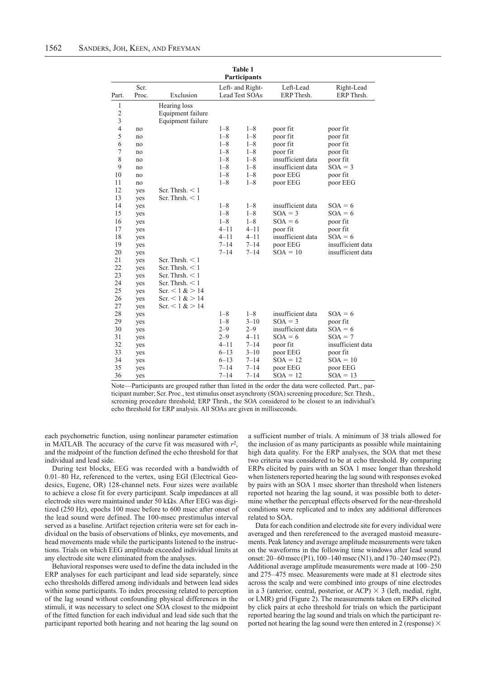| <b>Table 1</b><br>Participants |       |                   |                  |          |                   |                   |
|--------------------------------|-------|-------------------|------------------|----------|-------------------|-------------------|
|                                | Scr.  |                   | Left- and Right- |          | Left-Lead         | Right-Lead        |
| Part.                          | Proc. | Exclusion         | Lead Test SOAs   |          | ERP Thrsh.        | ERP Thrsh.        |
| 1                              |       | Hearing loss      |                  |          |                   |                   |
| $\overline{c}$                 |       | Equipment failure |                  |          |                   |                   |
| 3                              |       | Equipment failure |                  |          |                   |                   |
| $\overline{4}$                 | no    |                   | $1 - 8$          | $1 - 8$  | poor fit          | poor fit          |
| 5                              | no    |                   | $1 - 8$          | $1 - 8$  | poor fit          | poor fit          |
| 6                              | no    |                   | $1 - 8$          | $1 - 8$  | poor fit          | poor fit          |
| 7                              | no    |                   | $1 - 8$          | $1 - 8$  | poor fit          | poor fit          |
| 8                              | no    |                   | $1 - 8$          | $1 - 8$  | insufficient data | poor fit          |
| 9                              | no    |                   | $1 - 8$          | $1 - 8$  | insufficient data | $SOA = 3$         |
| 10                             | no    |                   | $1 - 8$          | $1 - 8$  | poor EEG          | poor fit          |
| 11                             | no    |                   | $1 - 8$          | $1 - 8$  | poor EEG          | poor EEG          |
| 12                             | yes   | Scr. Thrsh. $<$ 1 |                  |          |                   |                   |
| 13                             | yes   | Scr. Thrsh. $<$ 1 |                  |          |                   |                   |
| 14                             | yes   |                   | $1 - 8$          | $1 - 8$  | insufficient data | $SOA = 6$         |
| 15                             | yes   |                   | $1 - 8$          | $1 - 8$  | $SOA = 3$         | $SOA = 6$         |
| 16                             | yes   |                   | $1 - 8$          | $1 - 8$  | $SOA = 6$         | poor fit          |
| 17                             | yes   |                   | $4 - 11$         | $4 - 11$ | poor fit          | poor fit          |
| 18                             | yes   |                   | $4 - 11$         | $4 - 11$ | insufficient data | $SOA = 6$         |
| 19                             | yes   |                   | $7 - 14$         | $7 - 14$ | poor EEG          | insufficient data |
| 20                             | yes   |                   | $7 - 14$         | $7 - 14$ | $SOA = 10$        | insufficient data |
| 21                             | yes   | Scr. Thrsh. $<$ 1 |                  |          |                   |                   |
| 22                             | yes   | Scr. Thrsh. $<$ 1 |                  |          |                   |                   |
| 23                             | yes   | Scr. Thrsh. $<$ 1 |                  |          |                   |                   |
| 24                             | yes   | Scr. Thrsh. $<$ 1 |                  |          |                   |                   |
| 25                             | yes   | Scr. < 1 > 14     |                  |          |                   |                   |
| 26                             | yes   | Scr. $< 1 > 14$   |                  |          |                   |                   |
| 27                             | yes   | Scr. < 1 > 14     |                  |          |                   |                   |
| 28                             | yes   |                   | $1 - 8$          | $1 - 8$  | insufficient data | $SOA = 6$         |
| 29                             | yes   |                   | $1 - 8$          | $3 - 10$ | $SOA = 3$         | poor fit          |
| 30                             | yes   |                   | $2 - 9$          | $2 - 9$  | insufficient data | $SOA = 6$         |
| 31                             | yes   |                   | $2 - 9$          | $4 - 11$ | $SOA = 6$         | $SOA = 7$         |
| 32                             | yes   |                   | $4 - 11$         | $7 - 14$ | poor fit          | insufficient data |
| 33                             | yes   |                   | $6 - 13$         | $3 - 10$ | poor EEG          | poor fit          |
| 34                             | yes   |                   | $6 - 13$         | $7 - 14$ | $SOA = 12$        | $SOA = 10$        |
| 35                             | yes   |                   | $7 - 14$         | $7 - 14$ | poor EEG          | poor EEG          |
| 36                             | yes   |                   | $7 - 14$         | $7 - 14$ | $SOA = 12$        | $SOA = 13$        |

Note—Participants are grouped rather than listed in the order the data were collected. Part., participant number; Scr. Proc., test stimulus onset asynchrony (SOA) screening procedure; Scr. Thrsh., screening procedure threshold; ERP Thrsh., the SOA considered to be closest to an individual's echo threshold for ERP analysis. All SOAs are given in milliseconds.

each psychometric function, using nonlinear parameter estimation in MATLAB. The accuracy of the curve fit was measured with *r*2, and the midpoint of the function defined the echo threshold for that individual and lead side.

During test blocks, EEG was recorded with a bandwidth of 0.01–80 Hz, referenced to the vertex, using EGI (Electrical Geodesics, Eugene, OR) 128-channel nets. Four sizes were available to achieve a close fit for every participant. Scalp impedances at all electrode sites were maintained under 50 k $\Omega$ s. After EEG was digitized (250 Hz), epochs 100 msec before to 600 msec after onset of the lead sound were defined. The 100-msec prestimulus interval served as a baseline. Artifact rejection criteria were set for each individual on the basis of observations of blinks, eye movements, and head movements made while the participants listened to the instructions. Trials on which EEG amplitude exceeded individual limits at any electrode site were eliminated from the analyses.

Behavioral responses were used to define the data included in the ERP analyses for each participant and lead side separately, since echo thresholds differed among individuals and between lead sides within some participants. To index processing related to perception of the lag sound without confounding physical differences in the stimuli, it was necessary to select one SOA closest to the midpoint of the fitted function for each individual and lead side such that the participant reported both hearing and not hearing the lag sound on

a sufficient number of trials. A minimum of 38 trials allowed for the inclusion of as many participants as possible while maintaining high data quality. For the ERP analyses, the SOA that met these two criteria was considered to be at echo threshold. By comparing ERPs elicited by pairs with an SOA 1 msec longer than threshold when listeners reported hearing the lag sound with responses evoked by pairs with an SOA 1 msec shorter than threshold when listeners reported not hearing the lag sound, it was possible both to determine whether the perceptual effects observed for the near-threshold conditions were replicated and to index any additional differences related to SOA.

Data for each condition and electrode site for every individual were averaged and then rereferenced to the averaged mastoid measurements. Peak latency and average amplitude measurements were taken on the waveforms in the following time windows after lead sound onset: 20–60 msec (P1), 100–140 msec (N1), and 170–240 msec (P2). Additional average amplitude measurements were made at 100–250 and 275–475 msec. Measurements were made at 81 electrode sites across the scalp and were combined into groups of nine electrodes in a 3 (anterior, central, posterior, or ACP)  $\times$  3 (left, medial, right, or LMR) grid (Figure 2). The measurements taken on ERPs elicited by click pairs at echo threshold for trials on which the participant reported hearing the lag sound and trials on which the participant reported not hearing the lag sound were then entered in 2 (response)  $\times$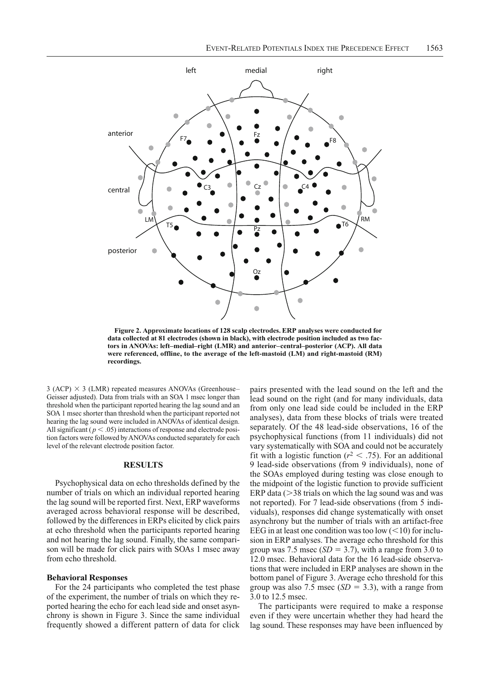

**Figure 2. Approximate locations of 128 scalp electrodes. ERP analyses were conducted for data collected at 81 electrodes (shown in black), with electrode position included as two factors in ANOVAs: left–medial–right (LMR) and anterior–central–posterior (ACP). All data were referenced, offline, to the average of the left-mastoid (LM) and right-mastoid (RM) recordings.**

 $3$  (ACP)  $\times$  3 (LMR) repeated measures ANOVAs (Greenhouse– Geisser adjusted). Data from trials with an SOA 1 msec longer than threshold when the participant reported hearing the lag sound and an SOA 1 msec shorter than threshold when the participant reported not hearing the lag sound were included in ANOVAs of identical design. All significant ( $p < .05$ ) interactions of response and electrode position factors were followed by ANOVAs conducted separately for each level of the relevant electrode position factor.

## **RESULTS**

Psychophysical data on echo thresholds defined by the number of trials on which an individual reported hearing the lag sound will be reported first. Next, ERP waveforms averaged across behavioral response will be described, followed by the differences in ERPs elicited by click pairs at echo threshold when the participants reported hearing and not hearing the lag sound. Finally, the same comparison will be made for click pairs with SOAs 1 msec away from echo threshold.

# **Behavioral Responses**

For the 24 participants who completed the test phase of the experiment, the number of trials on which they reported hearing the echo for each lead side and onset asynchrony is shown in Figure 3. Since the same individual frequently showed a different pattern of data for click

pairs presented with the lead sound on the left and the lead sound on the right (and for many individuals, data from only one lead side could be included in the ERP analyses), data from these blocks of trials were treated separately. Of the 48 lead-side observations, 16 of the psychophysical functions (from 11 individuals) did not vary systematically with SOA and could not be accurately fit with a logistic function ( $r^2$  < .75). For an additional 9 lead-side observations (from 9 individuals), none of the SOAs employed during testing was close enough to the midpoint of the logistic function to provide sufficient ERP data  $(>38 \text{ trials on which the lag sound was and was})$ not reported). For 7 lead-side observations (from 5 individuals), responses did change systematically with onset asynchrony but the number of trials with an artifact-free EEG in at least one condition was too low  $(<10$ ) for inclusion in ERP analyses. The average echo threshold for this group was 7.5 msec  $(SD = 3.7)$ , with a range from 3.0 to 12.0 msec. Behavioral data for the 16 lead-side observations that were included in ERP analyses are shown in the bottom panel of Figure 3. Average echo threshold for this group was also 7.5 msec  $(SD = 3.3)$ , with a range from 3.0 to 12.5 msec.

The participants were required to make a response even if they were uncertain whether they had heard the lag sound. These responses may have been influenced by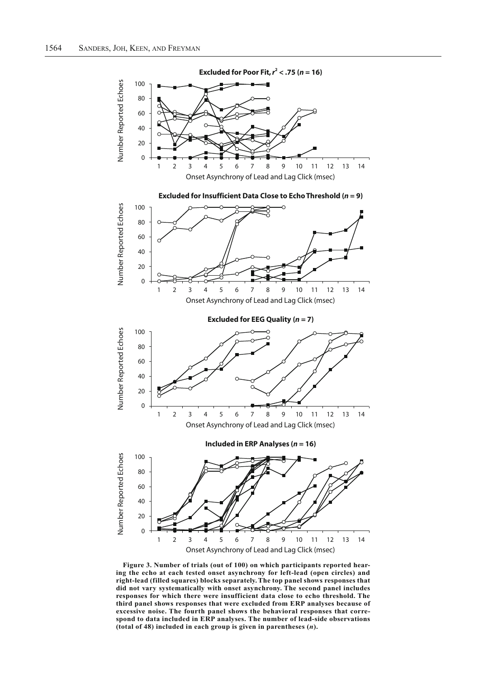

**Figure 3. Number of trials (out of 100) on which participants reported hearing the echo at each tested onset asynchrony for left-lead (open circles) and right-lead (filled squares) blocks separately. The top panel shows responses that did not vary systematically with onset asynchrony. The second panel includes responses for which there were insufficient data close to echo threshold. The third panel shows responses that were excluded from ERP analyses because of excessive noise. The fourth panel shows the behavioral responses that correspond to data included in ERP analyses. The number of lead-side observations (total of 48) included in each group is given in parentheses (***n***).**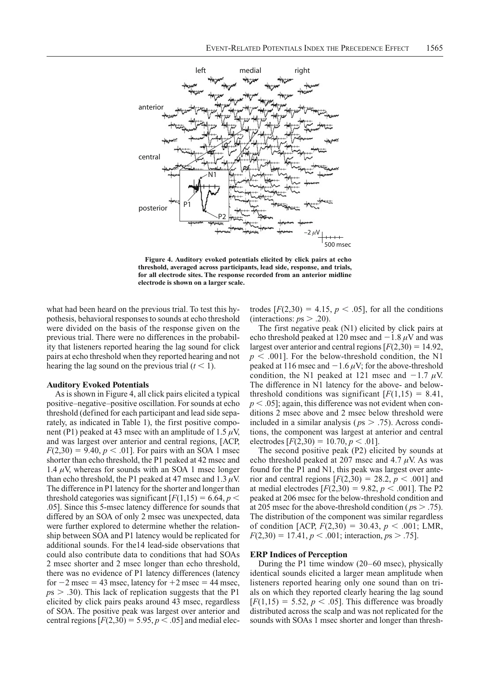

**Figure 4. Auditory evoked potentials elicited by click pairs at echo threshold, averaged across participants, lead side, response, and trials, for all electrode sites. The response recorded from an anterior midline electrode is shown on a larger scale.**

what had been heard on the previous trial. To test this hypothesis, behavioral responses to sounds at echo threshold were divided on the basis of the response given on the previous trial. There were no differences in the probability that listeners reported hearing the lag sound for click pairs at echo threshold when they reported hearing and not hearing the lag sound on the previous trial  $(t < 1)$ .

## **Auditory Evoked Potentials**

As is shown in Figure 4, all click pairs elicited a typical positive–negative–positive oscillation. For sounds at echo threshold (defined for each participant and lead side separately, as indicated in Table 1), the first positive component (P1) peaked at 43 msec with an amplitude of 1.5  $\mu$ V, and was largest over anterior and central regions, [ACP,  $F(2,30) = 9.40, p < .01$ ]. For pairs with an SOA 1 msec shorter than echo threshold, the P1 peaked at 42 msec and 1.4  $\mu$ V, whereas for sounds with an SOA 1 msec longer than echo threshold, the P1 peaked at 47 msec and 1.3  $\mu$ V. The difference in P1 latency for the shorter and longer than threshold categories was significant  $[F(1,15) = 6.64, p <$ .05]. Since this 5-msec latency difference for sounds that differed by an SOA of only 2 msec was unexpected, data were further explored to determine whether the relationship between SOA and P1 latency would be replicated for additional sounds. For the14 lead-side observations that could also contribute data to conditions that had SOAs 2 msec shorter and 2 msec longer than echo threshold, there was no evidence of P1 latency differences (latency for  $-2$  msec = 43 msec, latency for  $+2$  msec = 44 msec,  $p<sub>5</sub>$   $>$  .30). This lack of replication suggests that the P1 elicited by click pairs peaks around 43 msec, regardless of SOA. The positive peak was largest over anterior and central regions  $[F(2,30) = 5.95, p < .05]$  and medial electrodes  $[F(2,30) = 4.15, p < .05]$ , for all the conditions (interactions:  $p_s > .20$ ).

The first negative peak (N1) elicited by click pairs at echo threshold peaked at 120 msec and  $-1.8 \mu$ V and was largest over anterior and central regions  $[F(2,30) = 14.92]$ ,  $p < .001$ ]. For the below-threshold condition, the N1 peaked at 116 msec and  $-1.6 \mu$ V; for the above-threshold condition, the N1 peaked at 121 msec and  $-1.7 \mu$ V. The difference in N1 latency for the above- and below threshold conditions was significant  $[F(1,15) = 8.41]$ ,  $p < .05$ ]; again, this difference was not evident when conditions 2 msec above and 2 msec below threshold were included in a similar analysis ( $p_s > .75$ ). Across conditions, the component was largest at anterior and central electrodes  $[F(2,30) = 10.70, p < .01]$ .

The second positive peak (P2) elicited by sounds at echo threshold peaked at 207 msec and 4.7  $\mu$ V. As was found for the P1 and N1, this peak was largest over anterior and central regions  $[F(2,30) = 28.2, p < .001]$  and at medial electrodes  $[F(2,30) = 9.82, p < .001]$ . The P2 peaked at 206 msec for the below-threshold condition and at 205 msec for the above-threshold condition ( $p_s > .75$ ). The distribution of the component was similar regardless of condition [ACP,  $F(2,30) = 30.43$ ,  $p < .001$ ; LMR,  $F(2,30) = 17.41, p < .001$ ; interaction,  $ps > .75$ ].

### **ERP Indices of Perception**

During the P1 time window (20–60 msec), physically identical sounds elicited a larger mean amplitude when listeners reported hearing only one sound than on trials on which they reported clearly hearing the lag sound  $[F(1,15) = 5.52, p < .05]$ . This difference was broadly distributed across the scalp and was not replicated for the sounds with SOAs 1 msec shorter and longer than thresh-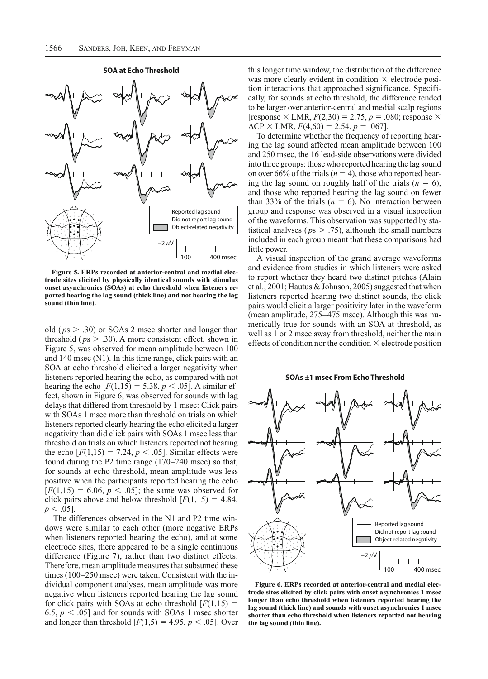

**Figure 5. ERPs recorded at anterior-central and medial electrode sites elicited by physically identical sounds with stimulus onset asynchronies (SOAs) at echo threshold when listeners reported hearing the lag sound (thick line) and not hearing the lag sound (thin line).**

old ( $ps > .30$ ) or SOAs 2 msec shorter and longer than threshold ( $ps > .30$ ). A more consistent effect, shown in Figure 5, was observed for mean amplitude between 100 and 140 msec (N1). In this time range, click pairs with an SOA at echo threshold elicited a larger negativity when listeners reported hearing the echo, as compared with not hearing the echo  $[F(1,15) = 5.38, p < .05]$ . A similar effect, shown in Figure 6, was observed for sounds with lag delays that differed from threshold by 1 msec: Click pairs with SOAs 1 msec more than threshold on trials on which listeners reported clearly hearing the echo elicited a larger negativity than did click pairs with SOAs 1 msec less than threshold on trials on which listeners reported not hearing the echo  $[F(1,15) = 7.24, p < .05]$ . Similar effects were found during the P2 time range (170–240 msec) so that, for sounds at echo threshold, mean amplitude was less positive when the participants reported hearing the echo  $[F(1,15) = 6.06, p < .05]$ ; the same was observed for click pairs above and below threshold  $[F(1,15) = 4.84]$ ,  $p < .05$ ].

The differences observed in the N1 and P2 time windows were similar to each other (more negative ERPs when listeners reported hearing the echo), and at some electrode sites, there appeared to be a single continuous difference (Figure 7), rather than two distinct effects. Therefore, mean amplitude measures that subsumed these times (100–250 msec) were taken. Consistent with the individual component analyses, mean amplitude was more negative when listeners reported hearing the lag sound for click pairs with SOAs at echo threshold  $[F(1,15)]$ 6.5,  $p < .05$ ] and for sounds with SOAs 1 msec shorter and longer than threshold  $[F(1,5) = 4.95, p < .05]$ . Over

this longer time window, the distribution of the difference was more clearly evident in condition  $\times$  electrode position interactions that approached significance. Specifically, for sounds at echo threshold, the difference tended to be larger over anterior-central and medial scalp regions [response  $\times$  LMR,  $F(2,30) = 2.75$ ,  $p = .080$ ; response  $\times$  $ACP \times LMR$ ,  $F(4.60) = 2.54$ ,  $p = .067$ ].

To determine whether the frequency of reporting hearing the lag sound affected mean amplitude between 100 and 250 msec, the 16 lead-side observations were divided into three groups: those who reported hearing the lag sound on over 66% of the trials  $(n = 4)$ , those who reported hearing the lag sound on roughly half of the trials  $(n = 6)$ , and those who reported hearing the lag sound on fewer than 33% of the trials  $(n = 6)$ . No interaction between group and response was observed in a visual inspection of the waveforms. This observation was supported by statistical analyses ( $p$ s  $> .75$ ), although the small numbers included in each group meant that these comparisons had little power.

A visual inspection of the grand average waveforms and evidence from studies in which listeners were asked to report whether they heard two distinct pitches (Alain et al., 2001; Hautus & Johnson, 2005) suggested that when listeners reported hearing two distinct sounds, the click pairs would elicit a larger positivity later in the waveform (mean amplitude, 275–475 msec). Although this was numerically true for sounds with an SOA at threshold, as well as 1 or 2 msec away from threshold, neither the main effects of condition nor the condition  $\times$  electrode position

**SOAs ±1 msec From Echo Threshold**



**Figure 6. ERPs recorded at anterior-central and medial electrode sites elicited by click pairs with onset asynchronies 1 msec longer than echo threshold when listeners reported hearing the lag sound (thick line) and sounds with onset asynchronies 1 msec shorter than echo threshold when listeners reported not hearing the lag sound (thin line).**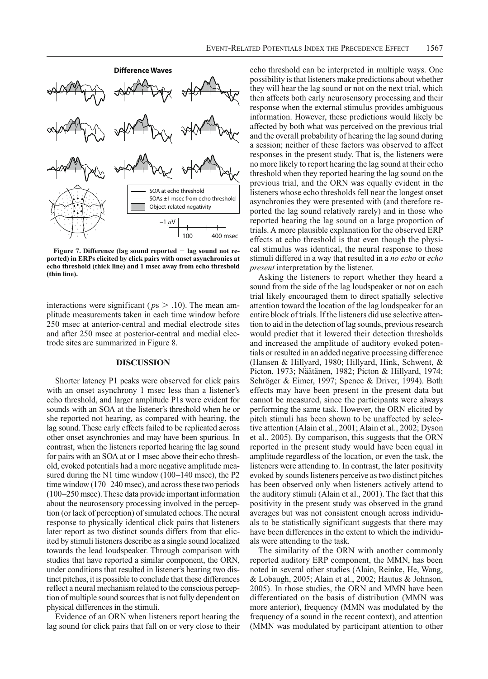

Figure 7. Difference (lag sound reported - lag sound not re**ported) in ERPs elicited by click pairs with onset asynchronies at echo threshold (thick line) and 1 msec away from echo threshold (thin line).**

interactions were significant ( $p_s > .10$ ). The mean amplitude measurements taken in each time window before 250 msec at anterior-central and medial electrode sites and after 250 msec at posterior-central and medial electrode sites are summarized in Figure 8.

# **DISCUSSION**

Shorter latency P1 peaks were observed for click pairs with an onset asynchrony 1 msec less than a listener's echo threshold, and larger amplitude P1s were evident for sounds with an SOA at the listener's threshold when he or she reported not hearing, as compared with hearing, the lag sound. These early effects failed to be replicated across other onset asynchronies and may have been spurious. In contrast, when the listeners reported hearing the lag sound for pairs with an SOA at or 1 msec above their echo threshold, evoked potentials had a more negative amplitude measured during the N1 time window (100–140 msec), the P2 time window (170–240 msec), and across these two periods (100–250 msec). These data provide important information about the neurosensory processing involved in the perception (or lack of perception) of simulated echoes. The neural response to physically identical click pairs that listeners later report as two distinct sounds differs from that elicited by stimuli listeners describe as a single sound localized towards the lead loudspeaker. Through comparison with studies that have reported a similar component, the ORN, under conditions that resulted in listener's hearing two distinct pitches, it is possible to conclude that these differences reflect a neural mechanism related to the conscious perception of multiple sound sources that is not fully dependent on physical differences in the stimuli.

Evidence of an ORN when listeners report hearing the lag sound for click pairs that fall on or very close to their

echo threshold can be interpreted in multiple ways. One possibility is that listeners make predictions about whether they will hear the lag sound or not on the next trial, which then affects both early neurosensory processing and their response when the external stimulus provides ambiguous information. However, these predictions would likely be affected by both what was perceived on the previous trial and the overall probability of hearing the lag sound during a session; neither of these factors was observed to affect responses in the present study. That is, the listeners were no more likely to report hearing the lag sound at their echo threshold when they reported hearing the lag sound on the previous trial, and the ORN was equally evident in the listeners whose echo thresholds fell near the longest onset asynchronies they were presented with (and therefore reported the lag sound relatively rarely) and in those who reported hearing the lag sound on a large proportion of trials. A more plausible explanation for the observed ERP effects at echo threshold is that even though the physical stimulus was identical, the neural response to those stimuli differed in a way that resulted in a *no echo* or *echo present* interpretation by the listener.

Asking the listeners to report whether they heard a sound from the side of the lag loudspeaker or not on each trial likely encouraged them to direct spatially selective attention toward the location of the lag loudspeaker for an entire block of trials. If the listeners did use selective attention to aid in the detection of lag sounds, previous research would predict that it lowered their detection thresholds and increased the amplitude of auditory evoked potentials or resulted in an added negative processing difference (Hansen & Hillyard, 1980; Hillyard, Hink, Schwent, & Picton, 1973; Näätänen, 1982; Picton & Hillyard, 1974; Schröger & Eimer, 1997; Spence & Driver, 1994). Both effects may have been present in the present data but cannot be measured, since the participants were always performing the same task. However, the ORN elicited by pitch stimuli has been shown to be unaffected by selective attention (Alain et al., 2001; Alain et al., 2002; Dyson et al., 2005). By comparison, this suggests that the ORN reported in the present study would have been equal in amplitude regardless of the location, or even the task, the listeners were attending to. In contrast, the later positivity evoked by sounds listeners perceive as two distinct pitches has been observed only when listeners actively attend to the auditory stimuli (Alain et al., 2001). The fact that this positivity in the present study was observed in the grand averages but was not consistent enough across individuals to be statistically significant suggests that there may have been differences in the extent to which the individuals were attending to the task.

The similarity of the ORN with another commonly reported auditory ERP component, the MMN, has been noted in several other studies (Alain, Reinke, He, Wang, & Lobaugh, 2005; Alain et al., 2002; Hautus & Johnson, 2005). In those studies, the ORN and MMN have been differentiated on the basis of distribution (MMN was more anterior), frequency (MMN was modulated by the frequency of a sound in the recent context), and attention (MMN was modulated by participant attention to other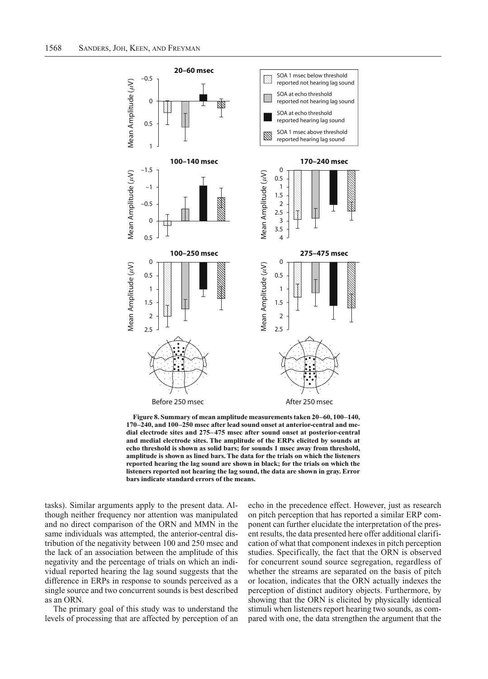

**Figure 8. Summary of mean amplitude measurements taken 20–60, 100–140, 170–240, and 100–250 msec after lead sound onset at anterior-central and medial electrode sites and 275–475 msec after sound onset at posterior-central and medial electrode sites. The amplitude of the ERPs elicited by sounds at echo threshold is shown as solid bars; for sounds 1 msec away from threshold, amplitude is shown as lined bars. The data for the trials on which the listeners reported hearing the lag sound are shown in black; for the trials on which the listeners reported not hearing the lag sound, the data are shown in gray. Error bars indicate standard errors of the means.**

tasks). Similar arguments apply to the present data. Although neither frequency nor attention was manipulated and no direct comparison of the ORN and MMN in the same individuals was attempted, the anterior-central distribution of the negativity between 100 and 250 msec and the lack of an association between the amplitude of this negativity and the percentage of trials on which an individual reported hearing the lag sound suggests that the difference in ERPs in response to sounds perceived as a single source and two concurrent sounds is best described as an ORN.

The primary goal of this study was to understand the levels of processing that are affected by perception of an

echo in the precedence effect. However, just as research on pitch perception that has reported a similar ERP component can further elucidate the interpretation of the present results, the data presented here offer additional clarification of what that component indexes in pitch perception studies. Specifically, the fact that the ORN is observed for concurrent sound source segregation, regardless of whether the streams are separated on the basis of pitch or location, indicates that the ORN actually indexes the perception of distinct auditory objects. Furthermore, by showing that the ORN is elicited by physically identical stimuli when listeners report hearing two sounds, as compared with one, the data strengthen the argument that the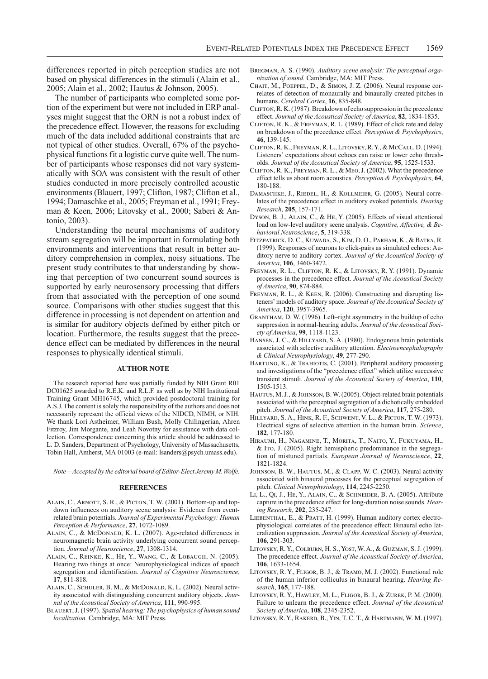differences reported in pitch perception studies are not based on physical differences in the stimuli (Alain et al., 2005; Alain et al., 2002; Hautus & Johnson, 2005).

The number of participants who completed some portion of the experiment but were not included in ERP analyses might suggest that the ORN is not a robust index of the precedence effect. However, the reasons for excluding much of the data included additional constraints that are not typical of other studies. Overall, 67% of the psychophysical functions fit a logistic curve quite well. The number of participants whose responses did not vary systematically with SOA was consistent with the result of other studies conducted in more precisely controlled acoustic environments (Blauert, 1997; Clifton, 1987; Clifton et al., 1994; Damaschke et al., 2005; Freyman et al., 1991; Freyman & Keen, 2006; Litovsky et al., 2000; Saberi & Antonio, 2003).

Understanding the neural mechanisms of auditory stream segregation will be important in formulating both environments and interventions that result in better auditory comprehension in complex, noisy situations. The present study contributes to that understanding by showing that perception of two concurrent sound sources is supported by early neurosensory processing that differs from that associated with the perception of one sound source. Comparisons with other studies suggest that this difference in processing is not dependent on attention and is similar for auditory objects defined by either pitch or location. Furthermore, the results suggest that the precedence effect can be mediated by differences in the neural responses to physically identical stimuli.

# **AUTHOR NOTE**

The research reported here was partially funded by NIH Grant R01 DC01625 awarded to R.E.K. and R.L.F. as well as by NIH Institutional Training Grant MH16745, which provided postdoctoral training for A.S.J. The content is solely the responsibility of the authors and does not necessarily represent the official views of the NIDCD, NIMH, or NIH. We thank Lori Astheimer, William Bush, Molly Chilingerian, Ahren Fitzroy, Jim Morgante, and Leah Novotny for assistance with data collection. Correspondence concerning this article should be addressed to L. D. Sanders, Department of Psychology, University of Massachusetts, Tobin Hall, Amherst, MA 01003 (e-mail: lsanders@psych.umass.edu).

*Note—Accepted by the editorial board of Editor-Elect Jeremy M. Wolfe.*

#### **REFERENCES**

- ALAIN, C., ARNOTT, S. R., & PICTON, T. W. (2001). Bottom-up and topdown influences on auditory scene analysis: Evidence from eventrelated brain potentials. *Journal of Experimental Psychology: Human Perception & Performance*, **27**, 1072-1089.
- ALAIN, C., & McDonald, K. L. (2007). Age-related differences in neuro magnetic brain activity underlying concurrent sound perception. *Journal of Neuroscience*, **27**, 1308-1314.
- Alain, C., Reinke, K., He, Y., Wang, C., & Lobaugh, N. (2005). Hearing two things at once: Neurophysiological indices of speech segregation and identification. *Journal of Cognitive Neuroscience*, **17**, 811-818.
- ALAIN, C., SCHULER, B. M., & McDONALD, K. L. (2002). Neural activity associated with distinguishing concurrent auditory objects. *Journal of the Acoustical Society of America*, **111**, 990-995.
- Blauert, J. (1997). *Spatial hearing: The psychophysics of human sound localization.* Cambridge, MA: MIT Press.
- Bregman, A. S. (1990). *Auditory scene analysis: The perceptual organization of sound.* Cambridge, MA: MIT Press.
- CHAIT, M., POEPPEL, D., & SIMON, J. Z. (2006). Neural response correlates of detection of monaurally and binaurally created pitches in humans. *Cerebral Cortex*, **16**, 835-848.
- Clifton, R. K. (1987). Breakdown of echo suppression in the precedence effect. *Journal of the Acoustical Society of America*, **82**, 1834-1835.
- Clifton, R. K., & Freyman, R. L. (1989). Effect of click rate and delay on breakdown of the precedence effect. *Perception & Psychophysics*, **46**, 139-145.
- Clifton, R. K., Freyman, R. L., Litovsky, R. Y., & McCall, D. (1994). Listeners' expectations about echoes can raise or lower echo thresholds. *Journal of the Acoustical Society of America*, **95**, 1525-1533.
- Clifton, R. K., Freyman, R. L., & Meo, J. (2002). What the precedence effect tells us about room acoustics. *Perception & Psychophysics*, **64**, 180-188.
- Damaschke, J., Riedel, H., & Kollmeier, G. (2005). Neural correlates of the precedence effect in auditory evoked potentials. *Hearing Research*, **205**, 157-171.
- Dyson, B. J., ALAIN, C., & HE, Y. (2005). Effects of visual attentional load on low-level auditory scene analysis. *Cognitive, Affective, & Behavioral Neuroscience*, **5**, 319-338.
- Fitzpatrick, D. C., Kuwada, S., Kim, D. O., Parham, K., & Batra, R. (1999). Responses of neurons to click-pairs as simulated echoes: Auditory nerve to auditory cortex. *Journal of the Acoustical Society of America*, **106**, 3460-3472.
- Freyman, R. L., Clifton, R. K., & Litovsky, R. Y. (1991). Dynamic processes in the precedence effect. *Journal of the Acoustical Society of America*, **90**, 874-884.
- FREYMAN, R. L., & KEEN, R. (2006). Constructing and disrupting listeners' models of auditory space. *Journal of the Acoustical Society of America*, **120**, 3957-3965.
- Grantham, D. W. (1996). Left–right asymmetry in the buildup of echo suppression in normal-hearing adults. *Journal of the Acoustical Society of America*, **99**, 1118-1123.
- HANSEN, J. C., & HILLYARD, S. A. (1980). Endogenous brain potentials associated with selective auditory attention. *Electroencephalography & Clinical Neurophysiology*, **49**, 277-290.
- HARTUNG, K., & TRAHIOTIS, C. (2001). Peripheral auditory processing and investigations of the "precedence effect" which utilize successive transient stimuli. *Journal of the Acoustical Society of America*, **110**, 1505-1513.
- HAUTUS, M. J., & JOHNSON, B. W. (2005). Object-related brain potentials associated with the perceptual segregation of a dichotically embedded pitch. *Journal of the Acoustical Society of America*, **117**, 275-280.
- Hillyard, S. A., Hink, R. F., Schwent, V. L., & Picton, T. W. (1973). Electrical signs of selective attention in the human brain. *Science*, **182**, 177-180.
- Hiraumi, H., Nagamine, T., Morita, T., Naito, Y., Fukuyama, H., & Ito, J. (2005). Right hemispheric predominance in the segregation of mistuned partials. *European Journal of Neuroscience*, **22**, 1821-1824.
- JOHNSON, B. W., HAUTUS, M., & CLAPP, W. C. (2003). Neural activity associated with binaural processes for the perceptual segregation of pitch. *Clinical Neurophysiology*, **114**, 2245-2250.
- Li, L., Qi, J., He, Y., Alain, C., & Schneider, B. A. (2005). Attribute capture in the precedence effect for long-duration noise sounds. *Hearing Research*, **202**, 235-247.
- LIEBENTHAL, E., & PRATT, H. (1999). Human auditory cortex electrophysiological correlates of the precedence effect: Binaural echo lateralization suppression. *Journal of the Acoustical Society of America*, **106**, 291-303.
- Litovsky, R. Y., Colburn, H. S., Yost, W. A., & Guzman, S. J. (1999). The precedence effect. *Journal of the Acoustical Society of America*, **106**, 1633-1654.
- LITOVSKY, R. Y., FLIGOR, B. J., & TRAMO, M. J. (2002). Functional role of the human inferior colliculus in binaural hearing. *Hearing Research*, **165**, 177-188.
- Litovsky, R. Y., Hawley, M. L., Fligor, B. J., & Zurek, P. M. (2000). Failure to unlearn the precedence effect. *Journal of the Acoustical Society of America*, **108**, 2345-2352.
- Litovsky, R. Y., Rakerd, B., Yin, T. C. T., & Hartmann, W. M. (1997).